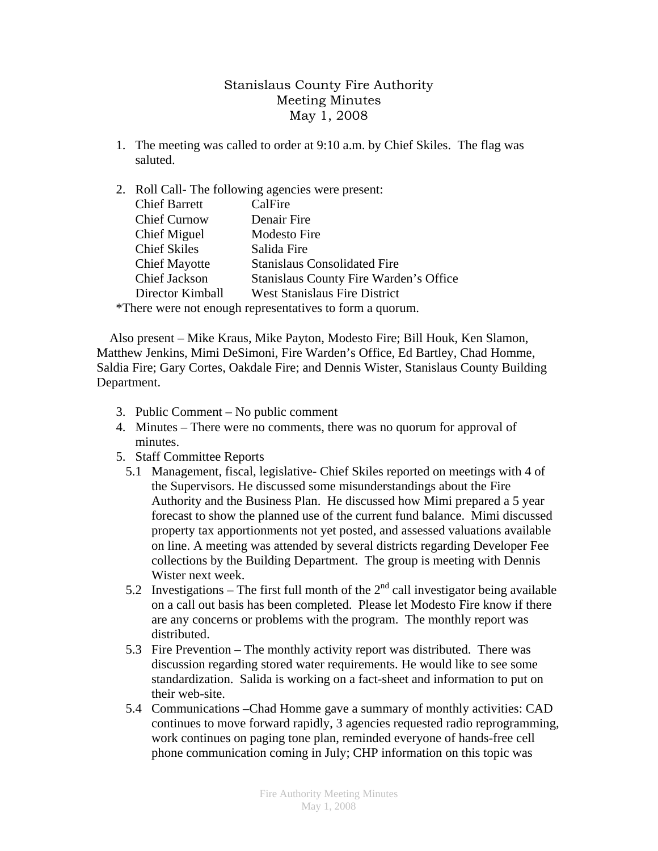## Stanislaus County Fire Authority Meeting Minutes May 1, 2008

1. The meeting was called to order at 9:10 a.m. by Chief Skiles. The flag was saluted.

## 2. Roll Call- The following agencies were present:

| <b>Chief Barrett</b> | CalFire                                       |
|----------------------|-----------------------------------------------|
| <b>Chief Curnow</b>  | Denair Fire                                   |
| Chief Miguel         | <b>Modesto Fire</b>                           |
| <b>Chief Skiles</b>  | Salida Fire                                   |
| <b>Chief Mayotte</b> | <b>Stanislaus Consolidated Fire</b>           |
| Chief Jackson        | <b>Stanislaus County Fire Warden's Office</b> |
| Director Kimball     | <b>West Stanislaus Fire District</b>          |
|                      | $\sim$ $\sim$ $\sim$ $\sim$ $\sim$            |

\*There were not enough representatives to form a quorum.

 Also present – Mike Kraus, Mike Payton, Modesto Fire; Bill Houk, Ken Slamon, Matthew Jenkins, Mimi DeSimoni, Fire Warden's Office, Ed Bartley, Chad Homme, Saldia Fire; Gary Cortes, Oakdale Fire; and Dennis Wister, Stanislaus County Building Department.

- 3. Public Comment No public comment
- 4. Minutes There were no comments, there was no quorum for approval of minutes.
- 5. Staff Committee Reports
	- 5.1 Management, fiscal, legislative- Chief Skiles reported on meetings with 4 of the Supervisors. He discussed some misunderstandings about the Fire Authority and the Business Plan. He discussed how Mimi prepared a 5 year forecast to show the planned use of the current fund balance. Mimi discussed property tax apportionments not yet posted, and assessed valuations available on line. A meeting was attended by several districts regarding Developer Fee collections by the Building Department. The group is meeting with Dennis Wister next week.
	- 5.2 Investigations The first full month of the  $2<sup>nd</sup>$  call investigator being available on a call out basis has been completed. Please let Modesto Fire know if there are any concerns or problems with the program. The monthly report was distributed.
	- 5.3 Fire Prevention The monthly activity report was distributed. There was discussion regarding stored water requirements. He would like to see some standardization. Salida is working on a fact-sheet and information to put on their web-site.
	- 5.4 Communications –Chad Homme gave a summary of monthly activities: CAD continues to move forward rapidly, 3 agencies requested radio reprogramming, work continues on paging tone plan, reminded everyone of hands-free cell phone communication coming in July; CHP information on this topic was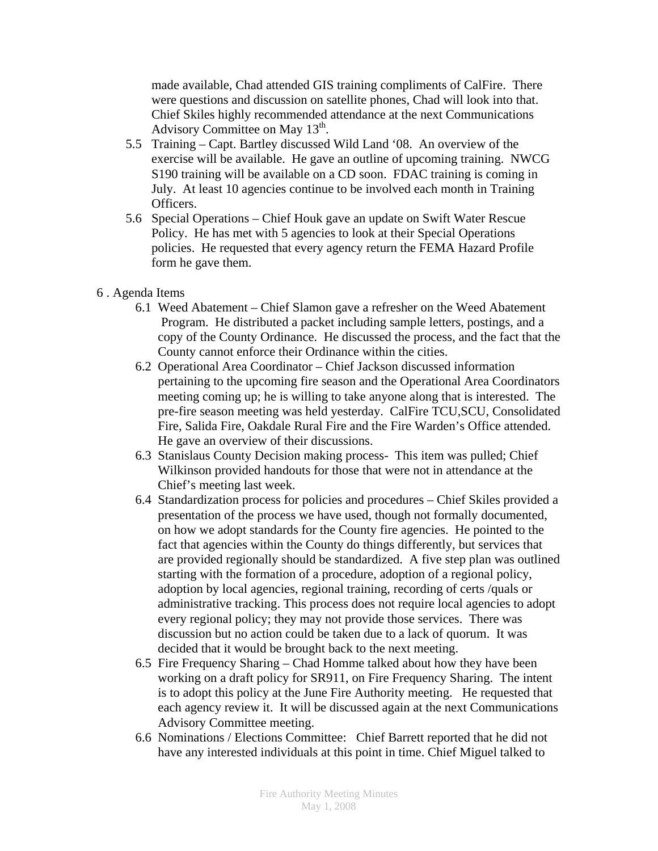made available, Chad attended GIS training compliments of CalFire. There were questions and discussion on satellite phones, Chad will look into that. Chief Skiles highly recommended attendance at the next Communications Advisory Committee on May  $13<sup>th</sup>$ .

- 5.5 Training Capt. Bartley discussed Wild Land '08. An overview of the exercise will be available. He gave an outline of upcoming training. NWCG S190 training will be available on a CD soon. FDAC training is coming in July. At least 10 agencies continue to be involved each month in Training Officers.
- 5.6 Special Operations Chief Houk gave an update on Swift Water Rescue Policy. He has met with 5 agencies to look at their Special Operations policies. He requested that every agency return the FEMA Hazard Profile form he gave them.
- 6 . Agenda Items
	- 6.1 Weed Abatement Chief Slamon gave a refresher on the Weed Abatement Program. He distributed a packet including sample letters, postings, and a copy of the County Ordinance. He discussed the process, and the fact that the County cannot enforce their Ordinance within the cities.
	- 6.2 Operational Area Coordinator Chief Jackson discussed information pertaining to the upcoming fire season and the Operational Area Coordinators meeting coming up; he is willing to take anyone along that is interested. The pre-fire season meeting was held yesterday. CalFire TCU,SCU, Consolidated Fire, Salida Fire, Oakdale Rural Fire and the Fire Warden's Office attended. He gave an overview of their discussions.
	- 6.3 Stanislaus County Decision making process- This item was pulled; Chief Wilkinson provided handouts for those that were not in attendance at the Chief's meeting last week.
	- 6.4 Standardization process for policies and procedures Chief Skiles provided a presentation of the process we have used, though not formally documented, on how we adopt standards for the County fire agencies. He pointed to the fact that agencies within the County do things differently, but services that are provided regionally should be standardized. A five step plan was outlined starting with the formation of a procedure, adoption of a regional policy, adoption by local agencies, regional training, recording of certs /quals or administrative tracking. This process does not require local agencies to adopt every regional policy; they may not provide those services. There was discussion but no action could be taken due to a lack of quorum. It was decided that it would be brought back to the next meeting.
	- 6.5 Fire Frequency Sharing Chad Homme talked about how they have been working on a draft policy for SR911, on Fire Frequency Sharing. The intent is to adopt this policy at the June Fire Authority meeting. He requested that each agency review it. It will be discussed again at the next Communications Advisory Committee meeting.
	- 6.6 Nominations / Elections Committee: Chief Barrett reported that he did not have any interested individuals at this point in time. Chief Miguel talked to